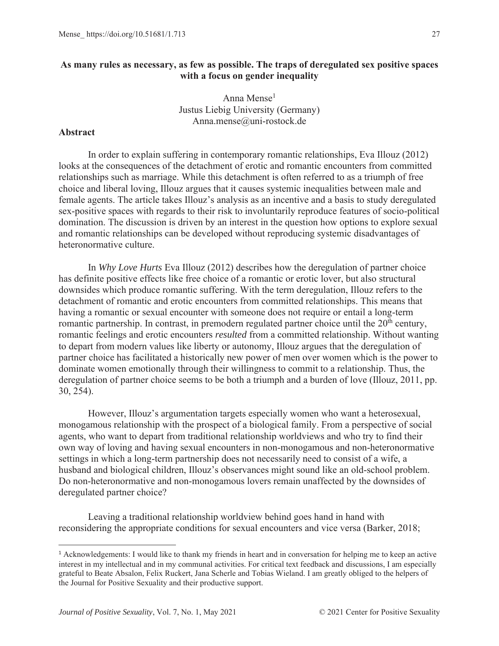# **As many rules as necessary, as few as possible. The traps of deregulated sex positive spaces with a focus on gender inequality**

Anna Mense<sup>1</sup> Justus Liebig University (Germany) Anna.mense@uni-rostock.de

# **Abstract**

In order to explain suffering in contemporary romantic relationships, Eva Illouz (2012) looks at the consequences of the detachment of erotic and romantic encounters from committed relationships such as marriage. While this detachment is often referred to as a triumph of free choice and liberal loving, Illouz argues that it causes systemic inequalities between male and female agents. The article takes Illouz's analysis as an incentive and a basis to study deregulated sex-positive spaces with regards to their risk to involuntarily reproduce features of socio-political domination. The discussion is driven by an interest in the question how options to explore sexual and romantic relationships can be developed without reproducing systemic disadvantages of heteronormative culture.

In *Why Love Hurts* Eva Illouz (2012) describes how the deregulation of partner choice has definite positive effects like free choice of a romantic or erotic lover, but also structural downsides which produce romantic suffering. With the term deregulation, Illouz refers to the detachment of romantic and erotic encounters from committed relationships. This means that having a romantic or sexual encounter with someone does not require or entail a long-term romantic partnership. In contrast, in premodern regulated partner choice until the 20<sup>th</sup> century, romantic feelings and erotic encounters *resulted* from a committed relationship. Without wanting to depart from modern values like liberty or autonomy, Illouz argues that the deregulation of partner choice has facilitated a historically new power of men over women which is the power to dominate women emotionally through their willingness to commit to a relationship. Thus, the deregulation of partner choice seems to be both a triumph and a burden of love (Illouz, 2011, pp. 30, 254).

However, Illouz's argumentation targets especially women who want a heterosexual, monogamous relationship with the prospect of a biological family. From a perspective of social agents, who want to depart from traditional relationship worldviews and who try to find their own way of loving and having sexual encounters in non-monogamous and non-heteronormative settings in which a long-term partnership does not necessarily need to consist of a wife, a husband and biological children, Illouz's observances might sound like an old-school problem. Do non-heteronormative and non-monogamous lovers remain unaffected by the downsides of deregulated partner choice?

Leaving a traditional relationship worldview behind goes hand in hand with reconsidering the appropriate conditions for sexual encounters and vice versa (Barker, 2018;

<sup>&</sup>lt;sup>1</sup> Acknowledgements: I would like to thank my friends in heart and in conversation for helping me to keep an active interest in my intellectual and in my communal activities. For critical text feedback and discussions, I am especially grateful to Beate Absalon, Felix Ruckert, Jana Scherle and Tobias Wieland. I am greatly obliged to the helpers of the Journal for Positive Sexuality and their productive support.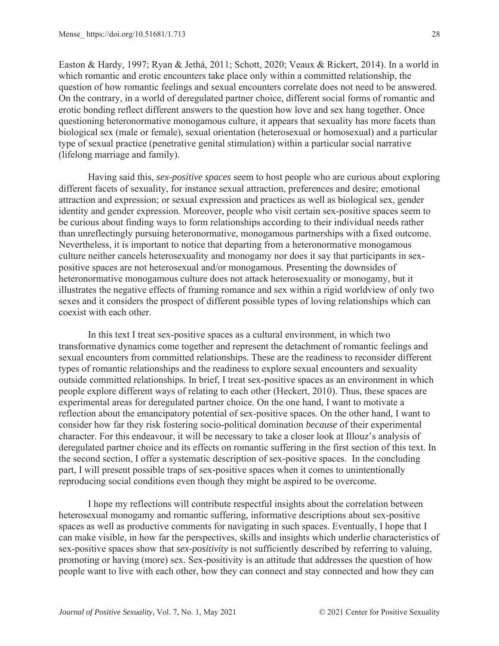Easton & Hardy, 1997; Ryan & Jethá, 2011; Schott, 2020; Veaux & Rickert, 2014). In a world in which romantic and erotic encounters take place only within a committed relationship, the question of how romantic feelings and sexual encounters correlate does not need to be answered. On the contrary, in a world of deregulated partner choice, different social forms of romantic and erotic bonding reflect different answers to the question how love and sex hang together. Once questioning heteronormative monogamous culture, it appears that sexuality has more facets than biological sex (male or female), sexual orientation (heterosexual or homosexual) and a particular type of sexual practice (penetrative genital stimulation) within a particular social narrative (lifelong marriage and family).

Having said this, *sex-positive spaces* seem to host people who are curious about exploring different facets of sexuality, for instance sexual attraction, preferences and desire; emotional attraction and expression; or sexual expression and practices as well as biological sex, gender identity and gender expression. Moreover, people who visit certain sex-positive spaces seem to be curious about finding ways to form relationships according to their individual needs rather than unreflectingly pursuing heteronormative, monogamous partnerships with a fixed outcome. Nevertheless, it is important to notice that departing from a heteronormative monogamous culture neither cancels heterosexuality and monogamy nor does it say that participants in sexpositive spaces are not heterosexual and/or monogamous. Presenting the downsides of heteronormative monogamous culture does not attack heterosexuality or monogamy, but it illustrates the negative effects of framing romance and sex within a rigid worldview of only two sexes and it considers the prospect of different possible types of loving relationships which can coexist with each other.

In this text I treat sex-positive spaces as a cultural environment, in which two transformative dynamics come together and represent the detachment of romantic feelings and sexual encounters from committed relationships. These are the readiness to reconsider different types of romantic relationships and the readiness to explore sexual encounters and sexuality outside committed relationships. In brief, I treat sex-positive spaces as an environment in which people explore different ways of relating to each other (Heckert, 2010). Thus, these spaces are experimental areas for deregulated partner choice. On the one hand, I want to motivate a reflection about the emancipatory potential of sex-positive spaces. On the other hand, I want to consider how far they risk fostering socio-political domination *because* of their experimental character. For this endeavour, it will be necessary to take a closer look at Illouz's analysis of deregulated partner choice and its effects on romantic suffering in the first section of this text. In the second section, I offer a systematic description of sex-positive spaces. In the concluding part, I will present possible traps of sex-positive spaces when it comes to unintentionally reproducing social conditions even though they might be aspired to be overcome.

I hope my reflections will contribute respectful insights about the correlation between heterosexual monogamy and romantic suffering, informative descriptions about sex-positive spaces as well as productive comments for navigating in such spaces. Eventually, I hope that I can make visible, in how far the perspectives, skills and insights which underlie characteristics of sex-positive spaces show that *sex-positivity* is not sufficiently described by referring to valuing, promoting or having (more) sex. Sex-positivity is an attitude that addresses the question of how people want to live with each other, how they can connect and stay connected and how they can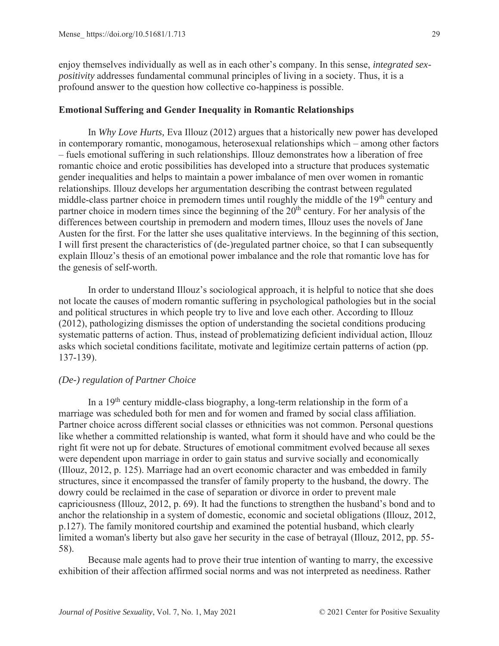enjoy themselves individually as well as in each other's company. In this sense, *integrated sexpositivity* addresses fundamental communal principles of living in a society. Thus, it is a profound answer to the question how collective co-happiness is possible.

### **Emotional Suffering and Gender Inequality in Romantic Relationships**

In *Why Love Hurts,* Eva Illouz (2012) argues that a historically new power has developed in contemporary romantic, monogamous, heterosexual relationships which – among other factors – fuels emotional suffering in such relationships. Illouz demonstrates how a liberation of free romantic choice and erotic possibilities has developed into a structure that produces systematic gender inequalities and helps to maintain a power imbalance of men over women in romantic relationships. Illouz develops her argumentation describing the contrast between regulated middle-class partner choice in premodern times until roughly the middle of the 19<sup>th</sup> century and partner choice in modern times since the beginning of the 20<sup>th</sup> century. For her analysis of the differences between courtship in premodern and modern times, Illouz uses the novels of Jane Austen for the first. For the latter she uses qualitative interviews. In the beginning of this section, I will first present the characteristics of (de-)regulated partner choice, so that I can subsequently explain Illouz's thesis of an emotional power imbalance and the role that romantic love has for the genesis of self-worth.

In order to understand Illouz's sociological approach, it is helpful to notice that she does not locate the causes of modern romantic suffering in psychological pathologies but in the social and political structures in which people try to live and love each other. According to Illouz (2012), pathologizing dismisses the option of understanding the societal conditions producing systematic patterns of action. Thus, instead of problematizing deficient individual action, Illouz asks which societal conditions facilitate, motivate and legitimize certain patterns of action (pp. 137-139).

# *(De-) regulation of Partner Choice*

In a  $19<sup>th</sup>$  century middle-class biography, a long-term relationship in the form of a marriage was scheduled both for men and for women and framed by social class affiliation. Partner choice across different social classes or ethnicities was not common. Personal questions like whether a committed relationship is wanted, what form it should have and who could be the right fit were not up for debate. Structures of emotional commitment evolved because all sexes were dependent upon marriage in order to gain status and survive socially and economically (Illouz, 2012, p. 125). Marriage had an overt economic character and was embedded in family structures, since it encompassed the transfer of family property to the husband, the dowry. The dowry could be reclaimed in the case of separation or divorce in order to prevent male capriciousness (Illouz, 2012, p. 69). It had the functions to strengthen the husband's bond and to anchor the relationship in a system of domestic, economic and societal obligations (Illouz, 2012, p.127). The family monitored courtship and examined the potential husband, which clearly limited a woman's liberty but also gave her security in the case of betrayal (Illouz, 2012, pp. 55- 58).

Because male agents had to prove their true intention of wanting to marry, the excessive exhibition of their affection affirmed social norms and was not interpreted as neediness. Rather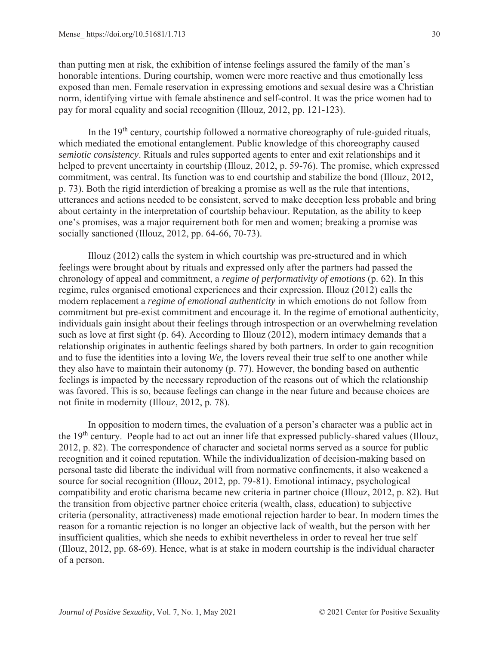than putting men at risk, the exhibition of intense feelings assured the family of the man's honorable intentions. During courtship, women were more reactive and thus emotionally less exposed than men. Female reservation in expressing emotions and sexual desire was a Christian norm, identifying virtue with female abstinence and self-control. It was the price women had to pay for moral equality and social recognition (Illouz, 2012, pp. 121-123).

In the  $19<sup>th</sup>$  century, courtship followed a normative choreography of rule-guided rituals, which mediated the emotional entanglement. Public knowledge of this choreography caused *semiotic consistency*. Rituals and rules supported agents to enter and exit relationships and it helped to prevent uncertainty in courtship (Illouz, 2012, p. 59-76). The promise, which expressed commitment, was central. Its function was to end courtship and stabilize the bond (Illouz, 2012, p. 73). Both the rigid interdiction of breaking a promise as well as the rule that intentions, utterances and actions needed to be consistent, served to make deception less probable and bring about certainty in the interpretation of courtship behaviour. Reputation, as the ability to keep one's promises, was a major requirement both for men and women; breaking a promise was socially sanctioned (Illouz, 2012, pp. 64-66, 70-73).

Illouz (2012) calls the system in which courtship was pre-structured and in which feelings were brought about by rituals and expressed only after the partners had passed the chronology of appeal and commitment, a *regime of performativity of emotions* (p. 62). In this regime, rules organised emotional experiences and their expression. Illouz (2012) calls the modern replacement a *regime of emotional authenticity* in which emotions do not follow from commitment but pre-exist commitment and encourage it. In the regime of emotional authenticity, individuals gain insight about their feelings through introspection or an overwhelming revelation such as love at first sight (p. 64). According to Illouz (2012), modern intimacy demands that a relationship originates in authentic feelings shared by both partners. In order to gain recognition and to fuse the identities into a loving *We,* the lovers reveal their true self to one another while they also have to maintain their autonomy (p. 77). However, the bonding based on authentic feelings is impacted by the necessary reproduction of the reasons out of which the relationship was favored. This is so, because feelings can change in the near future and because choices are not finite in modernity (Illouz, 2012, p. 78).

In opposition to modern times, the evaluation of a person's character was a public act in the 19th century. People had to act out an inner life that expressed publicly-shared values (Illouz, 2012, p. 82). The correspondence of character and societal norms served as a source for public recognition and it coined reputation. While the individualization of decision-making based on personal taste did liberate the individual will from normative confinements, it also weakened a source for social recognition (Illouz, 2012, pp. 79-81). Emotional intimacy, psychological compatibility and erotic charisma became new criteria in partner choice (Illouz, 2012, p. 82). But the transition from objective partner choice criteria (wealth, class, education) to subjective criteria (personality, attractiveness) made emotional rejection harder to bear. In modern times the reason for a romantic rejection is no longer an objective lack of wealth, but the person with her insufficient qualities, which she needs to exhibit nevertheless in order to reveal her true self (Illouz, 2012, pp. 68-69). Hence, what is at stake in modern courtship is the individual character of a person.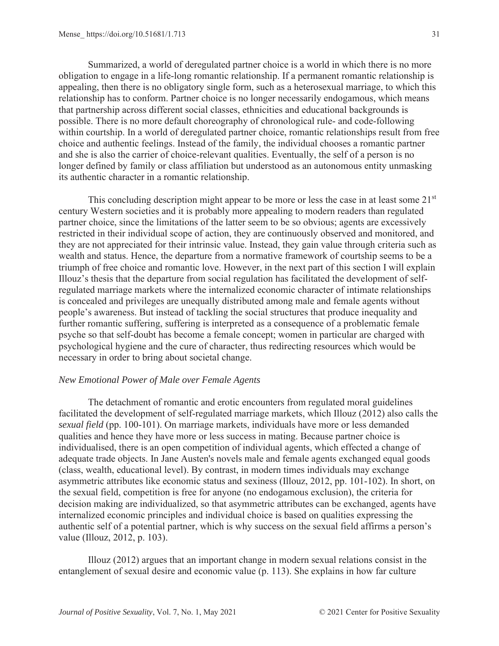Summarized, a world of deregulated partner choice is a world in which there is no more obligation to engage in a life-long romantic relationship. If a permanent romantic relationship is appealing, then there is no obligatory single form, such as a heterosexual marriage, to which this relationship has to conform. Partner choice is no longer necessarily endogamous, which means that partnership across different social classes, ethnicities and educational backgrounds is possible. There is no more default choreography of chronological rule- and code-following within courtship. In a world of deregulated partner choice, romantic relationships result from free choice and authentic feelings. Instead of the family, the individual chooses a romantic partner and she is also the carrier of choice-relevant qualities. Eventually, the self of a person is no longer defined by family or class affiliation but understood as an autonomous entity unmasking its authentic character in a romantic relationship.

This concluding description might appear to be more or less the case in at least some  $21<sup>st</sup>$ century Western societies and it is probably more appealing to modern readers than regulated partner choice, since the limitations of the latter seem to be so obvious; agents are excessively restricted in their individual scope of action, they are continuously observed and monitored, and they are not appreciated for their intrinsic value. Instead, they gain value through criteria such as wealth and status. Hence, the departure from a normative framework of courtship seems to be a triumph of free choice and romantic love. However, in the next part of this section I will explain Illouz's thesis that the departure from social regulation has facilitated the development of selfregulated marriage markets where the internalized economic character of intimate relationships is concealed and privileges are unequally distributed among male and female agents without people's awareness. But instead of tackling the social structures that produce inequality and further romantic suffering, suffering is interpreted as a consequence of a problematic female psyche so that self-doubt has become a female concept; women in particular are charged with psychological hygiene and the cure of character, thus redirecting resources which would be necessary in order to bring about societal change.

#### *New Emotional Power of Male over Female Agents*

The detachment of romantic and erotic encounters from regulated moral guidelines facilitated the development of self-regulated marriage markets, which Illouz (2012) also calls the *sexual field* (pp. 100-101). On marriage markets, individuals have more or less demanded qualities and hence they have more or less success in mating. Because partner choice is individualised, there is an open competition of individual agents, which effected a change of adequate trade objects. In Jane Austen's novels male and female agents exchanged equal goods (class, wealth, educational level). By contrast, in modern times individuals may exchange asymmetric attributes like economic status and sexiness (Illouz, 2012, pp. 101-102). In short, on the sexual field, competition is free for anyone (no endogamous exclusion), the criteria for decision making are individualized, so that asymmetric attributes can be exchanged, agents have internalized economic principles and individual choice is based on qualities expressing the authentic self of a potential partner, which is why success on the sexual field affirms a person's value (Illouz, 2012, p. 103).

Illouz (2012) argues that an important change in modern sexual relations consist in the entanglement of sexual desire and economic value (p. 113). She explains in how far culture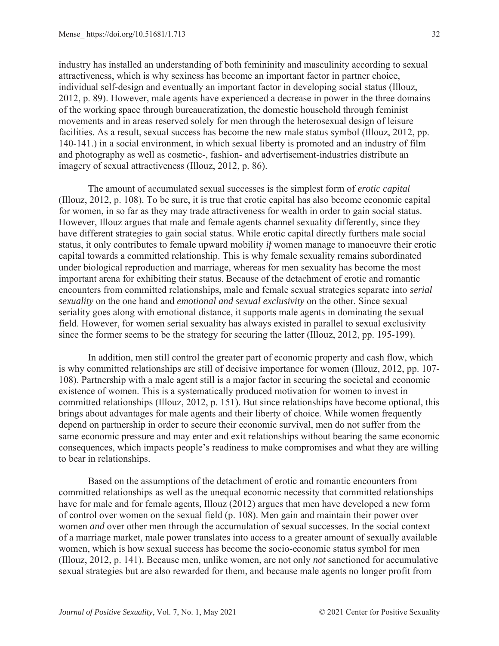industry has installed an understanding of both femininity and masculinity according to sexual attractiveness, which is why sexiness has become an important factor in partner choice, individual self-design and eventually an important factor in developing social status (Illouz, 2012, p. 89). However, male agents have experienced a decrease in power in the three domains of the working space through bureaucratization, the domestic household through feminist movements and in areas reserved solely for men through the heterosexual design of leisure facilities. As a result, sexual success has become the new male status symbol (Illouz, 2012, pp. 140-141.) in a social environment, in which sexual liberty is promoted and an industry of film and photography as well as cosmetic-, fashion- and advertisement-industries distribute an imagery of sexual attractiveness (Illouz, 2012, p. 86).

The amount of accumulated sexual successes is the simplest form of *erotic capital* (Illouz, 2012, p. 108). To be sure, it is true that erotic capital has also become economic capital for women, in so far as they may trade attractiveness for wealth in order to gain social status. However, Illouz argues that male and female agents channel sexuality differently, since they have different strategies to gain social status. While erotic capital directly furthers male social status, it only contributes to female upward mobility *if* women manage to manoeuvre their erotic capital towards a committed relationship. This is why female sexuality remains subordinated under biological reproduction and marriage, whereas for men sexuality has become the most important arena for exhibiting their status. Because of the detachment of erotic and romantic encounters from committed relationships, male and female sexual strategies separate into *serial sexuality* on the one hand and *emotional and sexual exclusivity* on the other. Since sexual seriality goes along with emotional distance, it supports male agents in dominating the sexual field. However, for women serial sexuality has always existed in parallel to sexual exclusivity since the former seems to be the strategy for securing the latter (Illouz, 2012, pp. 195-199).

In addition, men still control the greater part of economic property and cash flow, which is why committed relationships are still of decisive importance for women (Illouz, 2012, pp. 107- 108). Partnership with a male agent still is a major factor in securing the societal and economic existence of women. This is a systematically produced motivation for women to invest in committed relationships (Illouz, 2012, p. 151). But since relationships have become optional, this brings about advantages for male agents and their liberty of choice. While women frequently depend on partnership in order to secure their economic survival, men do not suffer from the same economic pressure and may enter and exit relationships without bearing the same economic consequences, which impacts people's readiness to make compromises and what they are willing to bear in relationships.

Based on the assumptions of the detachment of erotic and romantic encounters from committed relationships as well as the unequal economic necessity that committed relationships have for male and for female agents, Illouz (2012) argues that men have developed a new form of control over women on the sexual field (p. 108). Men gain and maintain their power over women *and* over other men through the accumulation of sexual successes. In the social context of a marriage market, male power translates into access to a greater amount of sexually available women, which is how sexual success has become the socio-economic status symbol for men (Illouz, 2012, p. 141). Because men, unlike women, are not only *not* sanctioned for accumulative sexual strategies but are also rewarded for them, and because male agents no longer profit from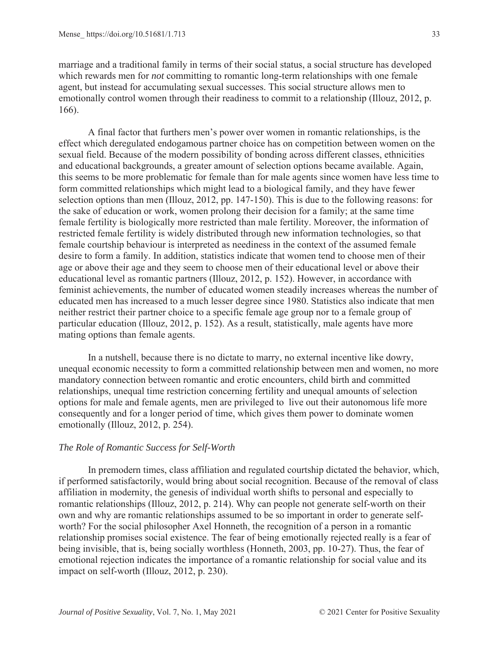marriage and a traditional family in terms of their social status, a social structure has developed which rewards men for *not* committing to romantic long-term relationships with one female agent, but instead for accumulating sexual successes. This social structure allows men to emotionally control women through their readiness to commit to a relationship (Illouz, 2012, p. 166).

A final factor that furthers men's power over women in romantic relationships, is the effect which deregulated endogamous partner choice has on competition between women on the sexual field. Because of the modern possibility of bonding across different classes, ethnicities and educational backgrounds, a greater amount of selection options became available. Again, this seems to be more problematic for female than for male agents since women have less time to form committed relationships which might lead to a biological family, and they have fewer selection options than men (Illouz, 2012, pp. 147-150). This is due to the following reasons: for the sake of education or work, women prolong their decision for a family; at the same time female fertility is biologically more restricted than male fertility. Moreover, the information of restricted female fertility is widely distributed through new information technologies, so that female courtship behaviour is interpreted as neediness in the context of the assumed female desire to form a family. In addition, statistics indicate that women tend to choose men of their age or above their age and they seem to choose men of their educational level or above their educational level as romantic partners (Illouz, 2012, p. 152). However, in accordance with feminist achievements, the number of educated women steadily increases whereas the number of educated men has increased to a much lesser degree since 1980. Statistics also indicate that men neither restrict their partner choice to a specific female age group nor to a female group of particular education (Illouz, 2012, p. 152). As a result, statistically, male agents have more mating options than female agents.

In a nutshell, because there is no dictate to marry, no external incentive like dowry, unequal economic necessity to form a committed relationship between men and women, no more mandatory connection between romantic and erotic encounters, child birth and committed relationships, unequal time restriction concerning fertility and unequal amounts of selection options for male and female agents, men are privileged to live out their autonomous life more consequently and for a longer period of time, which gives them power to dominate women emotionally (Illouz, 2012, p. 254).

# *The Role of Romantic Success for Self-Worth*

In premodern times, class affiliation and regulated courtship dictated the behavior, which, if performed satisfactorily, would bring about social recognition. Because of the removal of class affiliation in modernity, the genesis of individual worth shifts to personal and especially to romantic relationships (Illouz, 2012, p. 214). Why can people not generate self-worth on their own and why are romantic relationships assumed to be so important in order to generate selfworth? For the social philosopher Axel Honneth, the recognition of a person in a romantic relationship promises social existence. The fear of being emotionally rejected really is a fear of being invisible, that is, being socially worthless (Honneth, 2003, pp. 10-27). Thus, the fear of emotional rejection indicates the importance of a romantic relationship for social value and its impact on self-worth (Illouz, 2012, p. 230).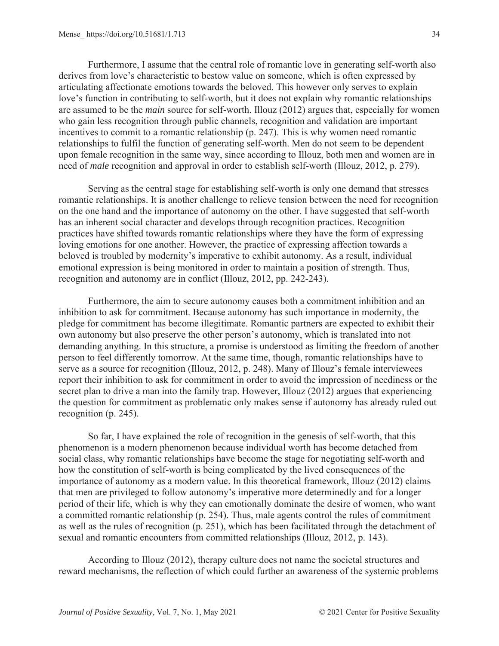Furthermore, I assume that the central role of romantic love in generating self-worth also derives from love's characteristic to bestow value on someone, which is often expressed by articulating affectionate emotions towards the beloved. This however only serves to explain love's function in contributing to self-worth, but it does not explain why romantic relationships are assumed to be the *main* source for self-worth. Illouz (2012) argues that, especially for women who gain less recognition through public channels, recognition and validation are important incentives to commit to a romantic relationship (p. 247). This is why women need romantic relationships to fulfil the function of generating self-worth. Men do not seem to be dependent upon female recognition in the same way, since according to Illouz, both men and women are in need of *male* recognition and approval in order to establish self-worth (Illouz, 2012, p. 279).

Serving as the central stage for establishing self-worth is only one demand that stresses romantic relationships. It is another challenge to relieve tension between the need for recognition on the one hand and the importance of autonomy on the other. I have suggested that self-worth has an inherent social character and develops through recognition practices. Recognition practices have shifted towards romantic relationships where they have the form of expressing loving emotions for one another. However, the practice of expressing affection towards a beloved is troubled by modernity's imperative to exhibit autonomy. As a result, individual emotional expression is being monitored in order to maintain a position of strength. Thus, recognition and autonomy are in conflict (Illouz, 2012, pp. 242-243).

Furthermore, the aim to secure autonomy causes both a commitment inhibition and an inhibition to ask for commitment. Because autonomy has such importance in modernity, the pledge for commitment has become illegitimate. Romantic partners are expected to exhibit their own autonomy but also preserve the other person's autonomy, which is translated into not demanding anything. In this structure, a promise is understood as limiting the freedom of another person to feel differently tomorrow. At the same time, though, romantic relationships have to serve as a source for recognition (Illouz, 2012, p. 248). Many of Illouz's female interviewees report their inhibition to ask for commitment in order to avoid the impression of neediness or the secret plan to drive a man into the family trap. However, Illouz (2012) argues that experiencing the question for commitment as problematic only makes sense if autonomy has already ruled out recognition (p. 245).

So far, I have explained the role of recognition in the genesis of self-worth, that this phenomenon is a modern phenomenon because individual worth has become detached from social class, why romantic relationships have become the stage for negotiating self-worth and how the constitution of self-worth is being complicated by the lived consequences of the importance of autonomy as a modern value. In this theoretical framework, Illouz (2012) claims that men are privileged to follow autonomy's imperative more determinedly and for a longer period of their life, which is why they can emotionally dominate the desire of women, who want a committed romantic relationship (p. 254). Thus, male agents control the rules of commitment as well as the rules of recognition (p. 251), which has been facilitated through the detachment of sexual and romantic encounters from committed relationships (Illouz, 2012, p. 143).

According to Illouz (2012), therapy culture does not name the societal structures and reward mechanisms, the reflection of which could further an awareness of the systemic problems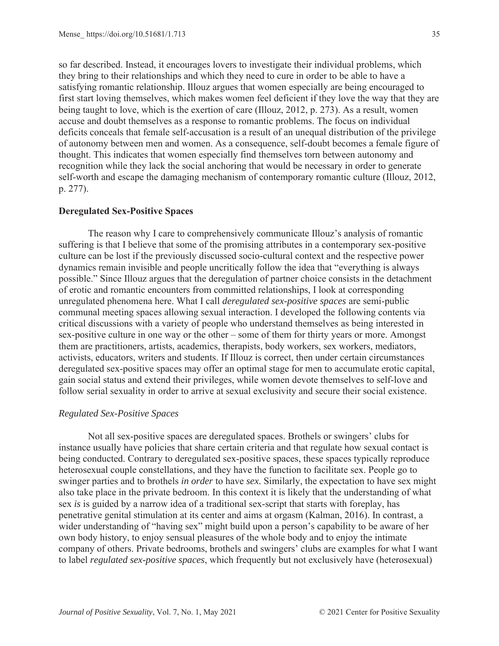so far described. Instead, it encourages lovers to investigate their individual problems, which they bring to their relationships and which they need to cure in order to be able to have a satisfying romantic relationship. Illouz argues that women especially are being encouraged to first start loving themselves, which makes women feel deficient if they love the way that they are being taught to love, which is the exertion of care (Illouz, 2012, p. 273). As a result, women accuse and doubt themselves as a response to romantic problems. The focus on individual deficits conceals that female self-accusation is a result of an unequal distribution of the privilege of autonomy between men and women. As a consequence, self-doubt becomes a female figure of thought. This indicates that women especially find themselves torn between autonomy and recognition while they lack the social anchoring that would be necessary in order to generate self-worth and escape the damaging mechanism of contemporary romantic culture (Illouz, 2012, p. 277).

# **Deregulated Sex-Positive Spaces**

The reason why I care to comprehensively communicate Illouz's analysis of romantic suffering is that I believe that some of the promising attributes in a contemporary sex-positive culture can be lost if the previously discussed socio-cultural context and the respective power dynamics remain invisible and people uncritically follow the idea that "everything is always possible." Since Illouz argues that the deregulation of partner choice consists in the detachment of erotic and romantic encounters from committed relationships, I look at corresponding unregulated phenomena here. What I call *deregulated sex-positive spaces* are semi-public communal meeting spaces allowing sexual interaction. I developed the following contents via critical discussions with a variety of people who understand themselves as being interested in sex-positive culture in one way or the other – some of them for thirty years or more. Amongst them are practitioners, artists, academics, therapists, body workers, sex workers, mediators, activists, educators, writers and students. If Illouz is correct, then under certain circumstances deregulated sex-positive spaces may offer an optimal stage for men to accumulate erotic capital, gain social status and extend their privileges, while women devote themselves to self-love and follow serial sexuality in order to arrive at sexual exclusivity and secure their social existence.

### *Regulated Sex-Positive Spaces*

Not all sex-positive spaces are deregulated spaces. Brothels or swingers' clubs for instance usually have policies that share certain criteria and that regulate how sexual contact is being conducted. Contrary to deregulated sex-positive spaces, these spaces typically reproduce heterosexual couple constellations, and they have the function to facilitate sex. People go to swinger parties and to brothels *in order* to have *sex.* Similarly, the expectation to have sex might also take place in the private bedroom. In this context it is likely that the understanding of what sex *is* is guided by a narrow idea of a traditional sex-script that starts with foreplay, has penetrative genital stimulation at its center and aims at orgasm (Kalman, 2016). In contrast, a wider understanding of "having sex" might build upon a person's capability to be aware of her own body history, to enjoy sensual pleasures of the whole body and to enjoy the intimate company of others. Private bedrooms, brothels and swingers' clubs are examples for what I want to label *regulated sex-positive spaces*, which frequently but not exclusively have (heterosexual)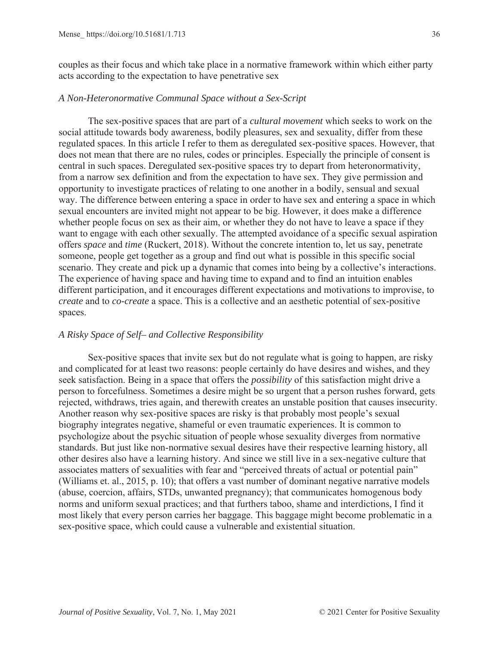couples as their focus and which take place in a normative framework within which either party acts according to the expectation to have penetrative sex

# *A Non-Heteronormative Communal Space without a Sex-Script*

The sex-positive spaces that are part of a *cultural movement* which seeks to work on the social attitude towards body awareness, bodily pleasures, sex and sexuality, differ from these regulated spaces. In this article I refer to them as deregulated sex-positive spaces. However, that does not mean that there are no rules, codes or principles. Especially the principle of consent is central in such spaces. Deregulated sex-positive spaces try to depart from heteronormativity, from a narrow sex definition and from the expectation to have sex. They give permission and opportunity to investigate practices of relating to one another in a bodily, sensual and sexual way. The difference between entering a space in order to have sex and entering a space in which sexual encounters are invited might not appear to be big. However, it does make a difference whether people focus on sex as their aim, or whether they do not have to leave a space if they want to engage with each other sexually. The attempted avoidance of a specific sexual aspiration offers *space* and *time* (Ruckert, 2018). Without the concrete intention to, let us say, penetrate someone, people get together as a group and find out what is possible in this specific social scenario. They create and pick up a dynamic that comes into being by a collective's interactions. The experience of having space and having time to expand and to find an intuition enables different participation, and it encourages different expectations and motivations to improvise, to *create* and to *co-create* a space. This is a collective and an aesthetic potential of sex-positive spaces.

### *A Risky Space of Self– and Collective Responsibility*

Sex-positive spaces that invite sex but do not regulate what is going to happen, are risky and complicated for at least two reasons: people certainly do have desires and wishes, and they seek satisfaction. Being in a space that offers the *possibility* of this satisfaction might drive a person to forcefulness. Sometimes a desire might be so urgent that a person rushes forward, gets rejected, withdraws, tries again, and therewith creates an unstable position that causes insecurity. Another reason why sex-positive spaces are risky is that probably most people's sexual biography integrates negative, shameful or even traumatic experiences. It is common to psychologize about the psychic situation of people whose sexuality diverges from normative standards. But just like non-normative sexual desires have their respective learning history, all other desires also have a learning history. And since we still live in a sex-negative culture that associates matters of sexualities with fear and "perceived threats of actual or potential pain" (Williams et. al., 2015, p. 10); that offers a vast number of dominant negative narrative models (abuse, coercion, affairs, STDs, unwanted pregnancy); that communicates homogenous body norms and uniform sexual practices; and that furthers taboo, shame and interdictions, I find it most likely that every person carries her baggage. This baggage might become problematic in a sex-positive space, which could cause a vulnerable and existential situation.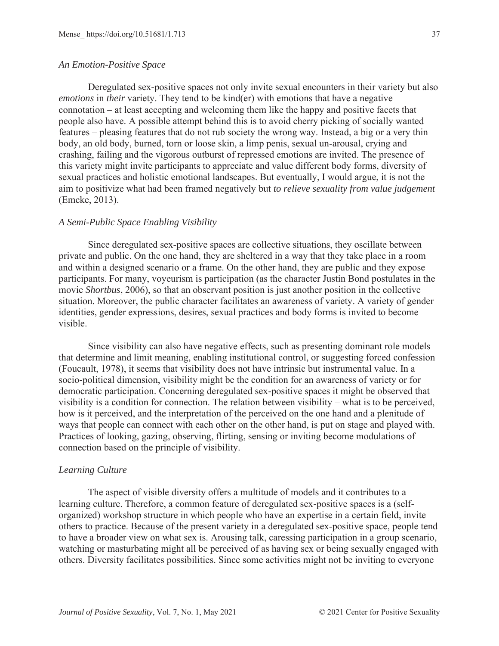### *An Emotion-Positive Space*

Deregulated sex-positive spaces not only invite sexual encounters in their variety but also *emotions* in *their* variety. They tend to be kind(er) with emotions that have a negative connotation – at least accepting and welcoming them like the happy and positive facets that people also have. A possible attempt behind this is to avoid cherry picking of socially wanted features – pleasing features that do not rub society the wrong way. Instead, a big or a very thin body, an old body, burned, torn or loose skin, a limp penis, sexual un-arousal, crying and crashing, failing and the vigorous outburst of repressed emotions are invited. The presence of this variety might invite participants to appreciate and value different body forms, diversity of sexual practices and holistic emotional landscapes. But eventually, I would argue, it is not the aim to positivize what had been framed negatively but *to relieve sexuality from value judgement* (Emcke, 2013).

### *A Semi-Public Space Enabling Visibility*

Since deregulated sex-positive spaces are collective situations, they oscillate between private and public. On the one hand, they are sheltered in a way that they take place in a room and within a designed scenario or a frame. On the other hand, they are public and they expose participants. For many, voyeurism is participation (as the character Justin Bond postulates in the movie *Shortbus*, 2006), so that an observant position is just another position in the collective situation. Moreover, the public character facilitates an awareness of variety. A variety of gender identities, gender expressions, desires, sexual practices and body forms is invited to become visible.

Since visibility can also have negative effects, such as presenting dominant role models that determine and limit meaning, enabling institutional control, or suggesting forced confession (Foucault, 1978), it seems that visibility does not have intrinsic but instrumental value. In a socio-political dimension, visibility might be the condition for an awareness of variety or for democratic participation. Concerning deregulated sex-positive spaces it might be observed that visibility is a condition for connection. The relation between visibility – what is to be perceived, how is it perceived, and the interpretation of the perceived on the one hand and a plenitude of ways that people can connect with each other on the other hand, is put on stage and played with. Practices of looking, gazing, observing, flirting, sensing or inviting become modulations of connection based on the principle of visibility.

### *Learning Culture*

The aspect of visible diversity offers a multitude of models and it contributes to a learning culture. Therefore, a common feature of deregulated sex-positive spaces is a (selforganized) workshop structure in which people who have an expertise in a certain field, invite others to practice. Because of the present variety in a deregulated sex-positive space, people tend to have a broader view on what sex is. Arousing talk, caressing participation in a group scenario, watching or masturbating might all be perceived of as having sex or being sexually engaged with others. Diversity facilitates possibilities. Since some activities might not be inviting to everyone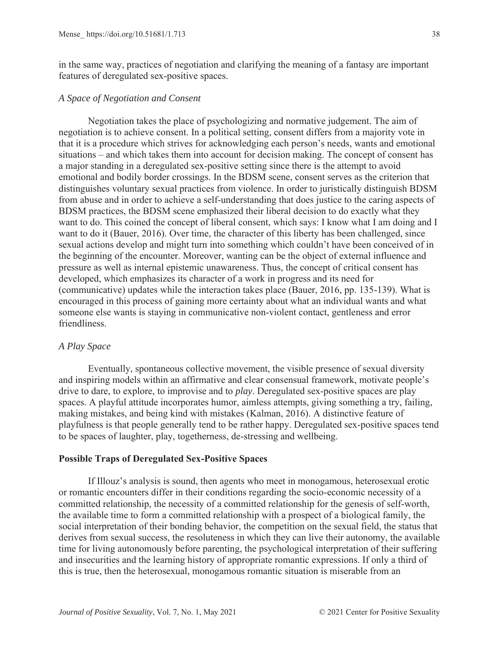in the same way, practices of negotiation and clarifying the meaning of a fantasy are important features of deregulated sex-positive spaces.

### *A Space of Negotiation and Consent*

Negotiation takes the place of psychologizing and normative judgement. The aim of negotiation is to achieve consent. In a political setting, consent differs from a majority vote in that it is a procedure which strives for acknowledging each person's needs, wants and emotional situations – and which takes them into account for decision making. The concept of consent has a major standing in a deregulated sex-positive setting since there is the attempt to avoid emotional and bodily border crossings. In the BDSM scene, consent serves as the criterion that distinguishes voluntary sexual practices from violence. In order to juristically distinguish BDSM from abuse and in order to achieve a self-understanding that does justice to the caring aspects of BDSM practices, the BDSM scene emphasized their liberal decision to do exactly what they want to do. This coined the concept of liberal consent, which says: I know what I am doing and I want to do it (Bauer, 2016). Over time, the character of this liberty has been challenged, since sexual actions develop and might turn into something which couldn't have been conceived of in the beginning of the encounter. Moreover, wanting can be the object of external influence and pressure as well as internal epistemic unawareness. Thus, the concept of critical consent has developed, which emphasizes its character of a work in progress and its need for (communicative) updates while the interaction takes place (Bauer, 2016, pp. 135-139). What is encouraged in this process of gaining more certainty about what an individual wants and what someone else wants is staying in communicative non-violent contact, gentleness and error friendliness.

### *A Play Space*

Eventually, spontaneous collective movement, the visible presence of sexual diversity and inspiring models within an affirmative and clear consensual framework, motivate people's drive to dare, to explore, to improvise and to *play*. Deregulated sex-positive spaces are play spaces. A playful attitude incorporates humor, aimless attempts, giving something a try, failing, making mistakes, and being kind with mistakes (Kalman, 2016). A distinctive feature of playfulness is that people generally tend to be rather happy. Deregulated sex-positive spaces tend to be spaces of laughter, play, togetherness, de-stressing and wellbeing.

# **Possible Traps of Deregulated Sex-Positive Spaces**

If Illouz's analysis is sound, then agents who meet in monogamous, heterosexual erotic or romantic encounters differ in their conditions regarding the socio-economic necessity of a committed relationship, the necessity of a committed relationship for the genesis of self-worth, the available time to form a committed relationship with a prospect of a biological family, the social interpretation of their bonding behavior, the competition on the sexual field, the status that derives from sexual success, the resoluteness in which they can live their autonomy, the available time for living autonomously before parenting, the psychological interpretation of their suffering and insecurities and the learning history of appropriate romantic expressions. If only a third of this is true, then the heterosexual, monogamous romantic situation is miserable from an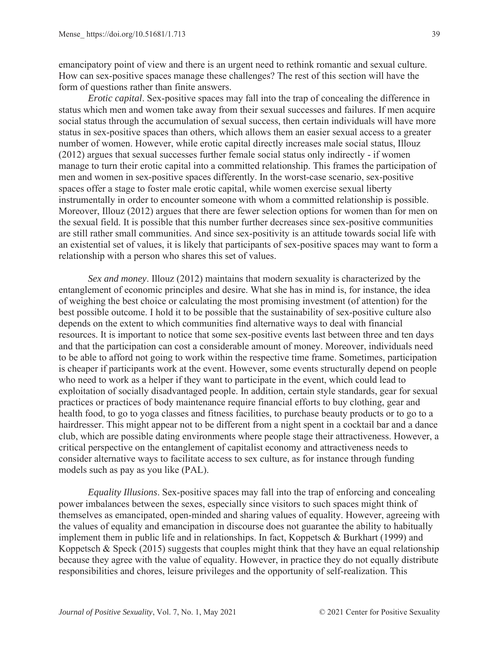emancipatory point of view and there is an urgent need to rethink romantic and sexual culture. How can sex-positive spaces manage these challenges? The rest of this section will have the form of questions rather than finite answers.

*Erotic capital*. Sex-positive spaces may fall into the trap of concealing the difference in status which men and women take away from their sexual successes and failures. If men acquire social status through the accumulation of sexual success, then certain individuals will have more status in sex-positive spaces than others, which allows them an easier sexual access to a greater number of women. However, while erotic capital directly increases male social status, Illouz (2012) argues that sexual successes further female social status only indirectly - if women manage to turn their erotic capital into a committed relationship. This frames the participation of men and women in sex-positive spaces differently. In the worst-case scenario, sex-positive spaces offer a stage to foster male erotic capital, while women exercise sexual liberty instrumentally in order to encounter someone with whom a committed relationship is possible. Moreover, Illouz (2012) argues that there are fewer selection options for women than for men on the sexual field. It is possible that this number further decreases since sex-positive communities are still rather small communities. And since sex-positivity is an attitude towards social life with an existential set of values, it is likely that participants of sex-positive spaces may want to form a relationship with a person who shares this set of values.

*Sex and money*. Illouz (2012) maintains that modern sexuality is characterized by the entanglement of economic principles and desire. What she has in mind is, for instance, the idea of weighing the best choice or calculating the most promising investment (of attention) for the best possible outcome. I hold it to be possible that the sustainability of sex-positive culture also depends on the extent to which communities find alternative ways to deal with financial resources. It is important to notice that some sex-positive events last between three and ten days and that the participation can cost a considerable amount of money. Moreover, individuals need to be able to afford not going to work within the respective time frame. Sometimes, participation is cheaper if participants work at the event. However, some events structurally depend on people who need to work as a helper if they want to participate in the event, which could lead to exploitation of socially disadvantaged people. In addition, certain style standards, gear for sexual practices or practices of body maintenance require financial efforts to buy clothing, gear and health food, to go to yoga classes and fitness facilities, to purchase beauty products or to go to a hairdresser. This might appear not to be different from a night spent in a cocktail bar and a dance club, which are possible dating environments where people stage their attractiveness. However, a critical perspective on the entanglement of capitalist economy and attractiveness needs to consider alternative ways to facilitate access to sex culture, as for instance through funding models such as pay as you like (PAL).

*Equality Illusions*. Sex-positive spaces may fall into the trap of enforcing and concealing power imbalances between the sexes, especially since visitors to such spaces might think of themselves as emancipated, open-minded and sharing values of equality. However, agreeing with the values of equality and emancipation in discourse does not guarantee the ability to habitually implement them in public life and in relationships. In fact, Koppetsch & Burkhart (1999) and Koppetsch & Speck (2015) suggests that couples might think that they have an equal relationship because they agree with the value of equality. However, in practice they do not equally distribute responsibilities and chores, leisure privileges and the opportunity of self-realization. This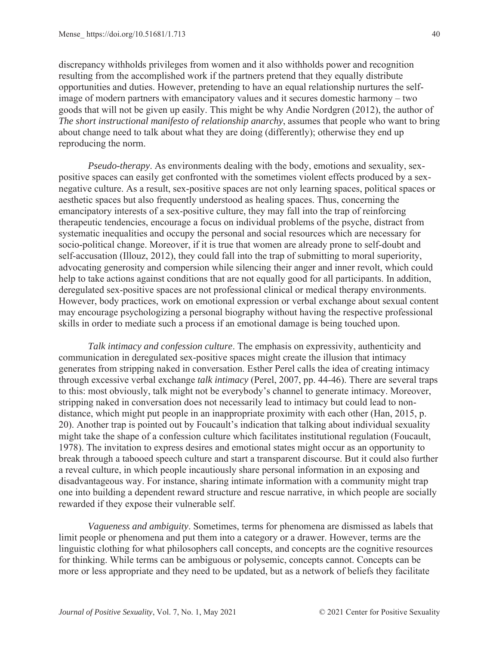discrepancy withholds privileges from women and it also withholds power and recognition resulting from the accomplished work if the partners pretend that they equally distribute opportunities and duties. However, pretending to have an equal relationship nurtures the selfimage of modern partners with emancipatory values and it secures domestic harmony – two goods that will not be given up easily. This might be why Andie Nordgren (2012), the author of *The short instructional manifesto of relationship anarchy*, assumes that people who want to bring about change need to talk about what they are doing (differently); otherwise they end up reproducing the norm.

*Pseudo-therapy*. As environments dealing with the body, emotions and sexuality, sexpositive spaces can easily get confronted with the sometimes violent effects produced by a sexnegative culture. As a result, sex-positive spaces are not only learning spaces, political spaces or aesthetic spaces but also frequently understood as healing spaces. Thus, concerning the emancipatory interests of a sex-positive culture, they may fall into the trap of reinforcing therapeutic tendencies, encourage a focus on individual problems of the psyche, distract from systematic inequalities and occupy the personal and social resources which are necessary for socio-political change. Moreover, if it is true that women are already prone to self-doubt and self-accusation (Illouz, 2012), they could fall into the trap of submitting to moral superiority, advocating generosity and compersion while silencing their anger and inner revolt, which could help to take actions against conditions that are not equally good for all participants. In addition, deregulated sex-positive spaces are not professional clinical or medical therapy environments. However, body practices, work on emotional expression or verbal exchange about sexual content may encourage psychologizing a personal biography without having the respective professional skills in order to mediate such a process if an emotional damage is being touched upon.

*Talk intimacy and confession culture*. The emphasis on expressivity, authenticity and communication in deregulated sex-positive spaces might create the illusion that intimacy generates from stripping naked in conversation. Esther Perel calls the idea of creating intimacy through excessive verbal exchange *talk intimacy* (Perel, 2007, pp. 44-46). There are several traps to this: most obviously, talk might not be everybody's channel to generate intimacy. Moreover, stripping naked in conversation does not necessarily lead to intimacy but could lead to nondistance, which might put people in an inappropriate proximity with each other (Han, 2015, p. 20). Another trap is pointed out by Foucault's indication that talking about individual sexuality might take the shape of a confession culture which facilitates institutional regulation (Foucault, 1978). The invitation to express desires and emotional states might occur as an opportunity to break through a tabooed speech culture and start a transparent discourse. But it could also further a reveal culture, in which people incautiously share personal information in an exposing and disadvantageous way. For instance, sharing intimate information with a community might trap one into building a dependent reward structure and rescue narrative, in which people are socially rewarded if they expose their vulnerable self.

*Vagueness and ambiguity*. Sometimes, terms for phenomena are dismissed as labels that limit people or phenomena and put them into a category or a drawer. However, terms are the linguistic clothing for what philosophers call concepts, and concepts are the cognitive resources for thinking. While terms can be ambiguous or polysemic, concepts cannot. Concepts can be more or less appropriate and they need to be updated, but as a network of beliefs they facilitate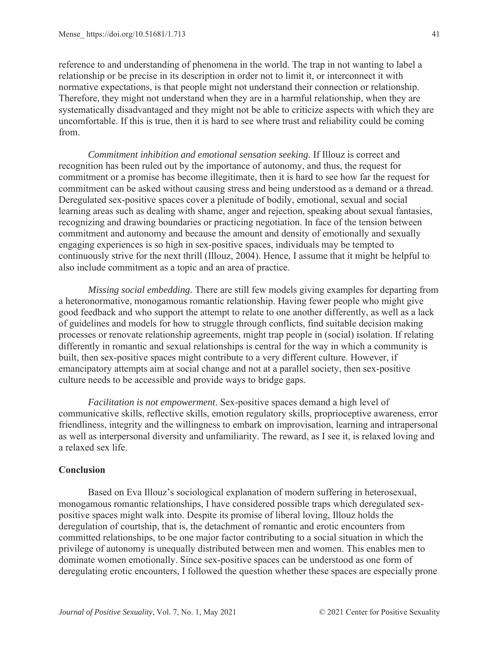reference to and understanding of phenomena in the world. The trap in not wanting to label a relationship or be precise in its description in order not to limit it, or interconnect it with normative expectations, is that people might not understand their connection or relationship. Therefore, they might not understand when they are in a harmful relationship, when they are systematically disadvantaged and they might not be able to criticize aspects with which they are uncomfortable. If this is true, then it is hard to see where trust and reliability could be coming from.

*Commitment inhibition and emotional sensation seeking*. If Illouz is correct and recognition has been ruled out by the importance of autonomy, and thus, the request for commitment or a promise has become illegitimate, then it is hard to see how far the request for commitment can be asked without causing stress and being understood as a demand or a thread. Deregulated sex-positive spaces cover a plenitude of bodily, emotional, sexual and social learning areas such as dealing with shame, anger and rejection, speaking about sexual fantasies, recognizing and drawing boundaries or practicing negotiation. In face of the tension between commitment and autonomy and because the amount and density of emotionally and sexually engaging experiences is so high in sex-positive spaces, individuals may be tempted to continuously strive for the next thrill (Illouz, 2004). Hence, I assume that it might be helpful to also include commitment as a topic and an area of practice.

*Missing social embedding*. There are still few models giving examples for departing from a heteronormative, monogamous romantic relationship. Having fewer people who might give good feedback and who support the attempt to relate to one another differently, as well as a lack of guidelines and models for how to struggle through conflicts, find suitable decision making processes or renovate relationship agreements, might trap people in (social) isolation. If relating differently in romantic and sexual relationships is central for the way in which a community is built, then sex-positive spaces might contribute to a very different culture. However, if emancipatory attempts aim at social change and not at a parallel society, then sex-positive culture needs to be accessible and provide ways to bridge gaps.

*Facilitation is not empowerment*. Sex-positive spaces demand a high level of communicative skills, reflective skills, emotion regulatory skills, proprioceptive awareness, error friendliness, integrity and the willingness to embark on improvisation, learning and intrapersonal as well as interpersonal diversity and unfamiliarity. The reward, as I see it, is relaxed loving and a relaxed sex life.

# **Conclusion**

Based on Eva Illouz's sociological explanation of modern suffering in heterosexual, monogamous romantic relationships, I have considered possible traps which deregulated sexpositive spaces might walk into. Despite its promise of liberal loving, Illouz holds the deregulation of courtship, that is, the detachment of romantic and erotic encounters from committed relationships, to be one major factor contributing to a social situation in which the privilege of autonomy is unequally distributed between men and women. This enables men to dominate women emotionally. Since sex-positive spaces can be understood as one form of deregulating erotic encounters, I followed the question whether these spaces are especially prone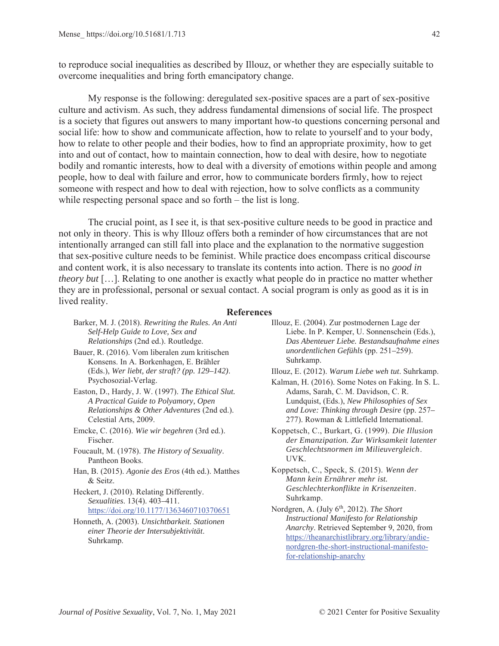to reproduce social inequalities as described by Illouz, or whether they are especially suitable to overcome inequalities and bring forth emancipatory change.

My response is the following: deregulated sex-positive spaces are a part of sex-positive culture and activism. As such, they address fundamental dimensions of social life. The prospect is a society that figures out answers to many important how-to questions concerning personal and social life: how to show and communicate affection, how to relate to yourself and to your body, how to relate to other people and their bodies, how to find an appropriate proximity, how to get into and out of contact, how to maintain connection, how to deal with desire, how to negotiate bodily and romantic interests, how to deal with a diversity of emotions within people and among people, how to deal with failure and error, how to communicate borders firmly, how to reject someone with respect and how to deal with rejection, how to solve conflicts as a community while respecting personal space and so forth – the list is long.

The crucial point, as I see it, is that sex-positive culture needs to be good in practice and not only in theory. This is why Illouz offers both a reminder of how circumstances that are not intentionally arranged can still fall into place and the explanation to the normative suggestion that sex-positive culture needs to be feminist. While practice does encompass critical discourse and content work, it is also necessary to translate its contents into action. There is no *good in theory but* […]. Relating to one another is exactly what people do in practice no matter whether they are in professional, personal or sexual contact. A social program is only as good as it is in lived reality.

#### **References**

Barker, M. J. (2018). *Rewriting the Rules. An Anti Self-Help Guide to Love, Sex and Relationships* (2nd ed.). Routledge. Bauer, R. (2016). Vom liberalen zum kritischen Konsens. In A. Borkenhagen, E. Brähler (Eds.), *Wer liebt, der straft? (pp. 129–142)*. Psychosozial-Verlag. Easton, D., Hardy, J. W. (1997). *The Ethical Slut. A Practical Guide to Polyamory, Open Relationships & Other Adventures* (2nd ed.). Celestial Arts, 2009. Emcke, C. (2016). *Wie wir begehren* (3rd ed.). Fischer. Foucault, M. (1978). *The History of Sexuality*. Pantheon Books. Han, B. (2015). *Agonie des Eros* (4th ed.). Matthes & Seitz. Heckert, J. (2010). Relating Differently. *Sexualities*. 13(4). 403*–*411. https://doi.org/10.1177/1363460710370651 Honneth, A. (2003). *Unsichtbarkeit. Stationen einer Theorie der Intersubjektivität*. Suhrkamp. Illouz, E. (2004). Zur postmodernen Lage der Liebe. In P. Kemper, U. Sonnenschein (Eds.), *Das Abenteuer Liebe. Bestandsaufnahme eines unordentlichen Gefühls* (pp. 251*–*259). Suhrkamp. Illouz, E. (2012). *Warum Liebe weh tut*. Suhrkamp. Kalman, H. (2016). Some Notes on Faking. In S. L. Adams, Sarah, C. M. Davidson, C. R. Lundquist, (Eds.), *New Philosophies of Sex and Love: Thinking through Desire* (pp. 257*–* 277). Rowman & Littlefield International. Koppetsch, C., Burkart, G. (1999). *Die Illusion der Emanzipation. Zur Wirksamkeit latenter Geschlechtsnormen im Milieuvergleich*. UVK. Koppetsch, C., Speck, S. (2015). *Wenn der Mann kein Ernährer mehr ist. Geschlechterkonflikte in Krisenzeiten*. Suhrkamp. Nordgren, A. (July 6<sup>th</sup>, 2012). *The Short Instructional Manifesto for Relationship Anarchy*. Retrieved September 9, 2020, from https://theanarchistlibrary.org/library/andienordgren-the-short-instructional-manifesto-

for-relationship-anarchy